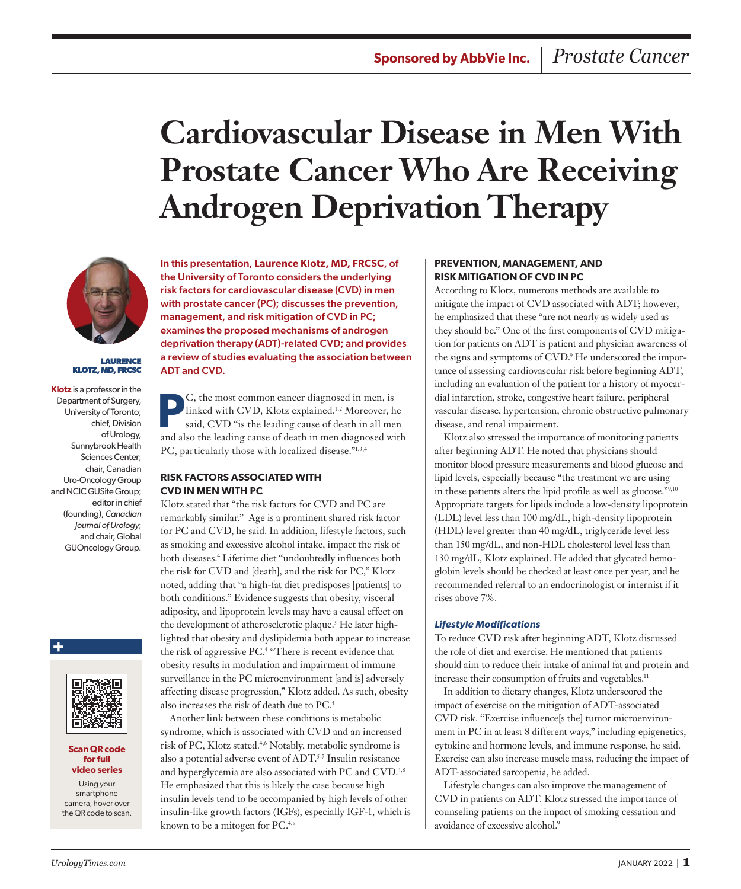# **Cardiovascular Disease in Men With Prostate Cancer Who Are Receiving Androgen Deprivation Therapy**



**LAURENCE KLOTZ, MD, FRCSC**

**Klotz** is a professor in the Department of Surgery, University of Toronto; chief, Division of Urology, Sunnybrook Health Sciences Center; chair, Canadian Uro‑Oncology Group and NCIC GUSite Group; editor in chief (founding), *Canadian Journal of Urology*; and chair, Global GUOncology Group.



**+**

#### **Scan QR code for full video series**

Using your smartphone camera, hover over the QR code to scan. In this presentation, **Laurence Klotz, MD, FRCSC**, of the University of Toronto considers the underlying risk factors for cardiovascular disease (CVD) in men with prostate cancer (PC); discusses the prevention, management, and risk mitigation of CVD in PC; examines the proposed mechanisms of androgen deprivation therapy (ADT)-related CVD; and provides a review of studies evaluating the association between ADT and CVD.

**PC**, the most common cancer diagnosed in men, is<br>linked with CVD, Klotz explained.<sup>1,2</sup> Moreover, h<br>said, CVD "is the leading cause of death in all me linked with CVD, Klotz explained.1,2 Moreover, he said, CVD "is the leading cause of death in all men and also the leading cause of death in men diagnosed with PC, particularly those with localized disease."1,3,4

#### **RISK FACTORS ASSOCIATED WITH CVD IN MEN WITH PC**

Klotz stated that "the risk factors for CVD and PC are remarkably similar."4 Age is a prominent shared risk factor for PC and CVD, he said. In addition, lifestyle factors, such as smoking and excessive alcohol intake, impact the risk of both diseases.4 Lifetime diet "undoubtedly influences both the risk for CVD and [death], and the risk for PC," Klotz noted, adding that "a high-fat diet predisposes [patients] to both conditions." Evidence suggests that obesity, visceral adiposity, and lipoprotein levels may have a causal effect on the development of atherosclerotic plaque.<sup>5</sup> He later highlighted that obesity and dyslipidemia both appear to increase the risk of aggressive PC.4 "There is recent evidence that obesity results in modulation and impairment of immune surveillance in the PC microenvironment [and is] adversely affecting disease progression," Klotz added. As such, obesity also increases the risk of death due to PC.4

Another link between these conditions is metabolic syndrome, which is associated with CVD and an increased risk of PC, Klotz stated.4,6 Notably, metabolic syndrome is also a potential adverse event of ADT.5-7 Insulin resistance and hyperglycemia are also associated with PC and CVD.<sup>4,8</sup> He emphasized that this is likely the case because high insulin levels tend to be accompanied by high levels of other insulin-like growth factors (IGFs), especially IGF-1, which is known to be a mitogen for PC.<sup>4,8</sup>

## **PREVENTION, MANAGEMENT, AND RISK MITIGATION OF CVD IN PC**

According to Klotz, numerous methods are available to mitigate the impact of CVD associated with ADT; however, he emphasized that these "are not nearly as widely used as they should be." One of the first components of CVD mitigation for patients on ADT is patient and physician awareness of the signs and symptoms of CVD.<sup>9</sup> He underscored the importance of assessing cardiovascular risk before beginning ADT, including an evaluation of the patient for a history of myocardial infarction, stroke, congestive heart failure, peripheral vascular disease, hypertension, chronic obstructive pulmonary disease, and renal impairment.

Klotz also stressed the importance of monitoring patients after beginning ADT. He noted that physicians should monitor blood pressure measurements and blood glucose and lipid levels, especially because "the treatment we are using in these patients alters the lipid profile as well as glucose."9,10 Appropriate targets for lipids include a low-density lipoprotein (LDL) level less than 100 mg/dL, high-density lipoprotein (HDL) level greater than 40 mg/dL, triglyceride level less than 150 mg/dL, and non-HDL cholesterol level less than 130 mg/dL, Klotz explained. He added that glycated hemoglobin levels should be checked at least once per year, and he recommended referral to an endocrinologist or internist if it rises above 7%.

#### *Lifestyle Modifications*

To reduce CVD risk after beginning ADT, Klotz discussed the role of diet and exercise. He mentioned that patients should aim to reduce their intake of animal fat and protein and increase their consumption of fruits and vegetables.<sup>11</sup>

In addition to dietary changes, Klotz underscored the impact of exercise on the mitigation of ADT-associated CVD risk. "Exercise influence[s the] tumor microenvironment in PC in at least 8 different ways," including epigenetics, cytokine and hormone levels, and immune response, he said. Exercise can also increase muscle mass, reducing the impact of ADT-associated sarcopenia, he added.

Lifestyle changes can also improve the management of CVD in patients on ADT. Klotz stressed the importance of counseling patients on the impact of smoking cessation and avoidance of excessive alcohol.<sup>9</sup>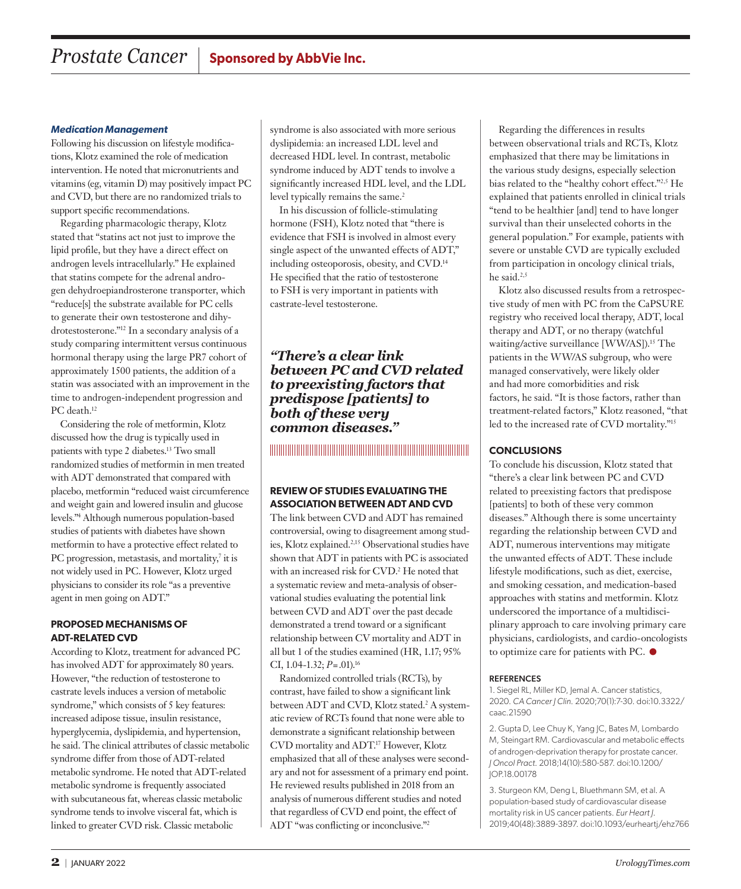#### *Medication Management*

Following his discussion on lifestyle modifications, Klotz examined the role of medication intervention. He noted that micronutrients and vitamins (eg, vitamin D) may positively impact PC and CVD, but there are no randomized trials to support specific recommendations.

Regarding pharmacologic therapy, Klotz stated that "statins act not just to improve the lipid profile, but they have a direct effect on androgen levels intracellularly." He explained that statins compete for the adrenal androgen dehydroepiandrosterone transporter, which "reduce[s] the substrate available for PC cells to generate their own testosterone and dihydrotestosterone."12 In a secondary analysis of a study comparing intermittent versus continuous hormonal therapy using the large PR7 cohort of approximately 1500 patients, the addition of a statin was associated with an improvement in the time to androgen-independent progression and PC death.<sup>12</sup>

Considering the role of metformin, Klotz discussed how the drug is typically used in patients with type 2 diabetes.13 Two small randomized studies of metformin in men treated with ADT demonstrated that compared with placebo, metformin "reduced waist circumference and weight gain and lowered insulin and glucose levels."4 Although numerous population-based studies of patients with diabetes have shown metformin to have a protective effect related to PC progression, metastasis, and mortality,<sup>7</sup> it is not widely used in PC. However, Klotz urged physicians to consider its role "as a preventive agent in men going on ADT."

#### **PROPOSED MECHANISMS OF ADT-RELATED CVD**

According to Klotz, treatment for advanced PC has involved ADT for approximately 80 years. However, "the reduction of testosterone to castrate levels induces a version of metabolic syndrome," which consists of 5 key features: increased adipose tissue, insulin resistance, hyperglycemia, dyslipidemia, and hypertension, he said. The clinical attributes of classic metabolic syndrome differ from those of ADT-related metabolic syndrome. He noted that ADT-related metabolic syndrome is frequently associated with subcutaneous fat, whereas classic metabolic syndrome tends to involve visceral fat, which is linked to greater CVD risk. Classic metabolic

syndrome is also associated with more serious dyslipidemia: an increased LDL level and decreased HDL level. In contrast, metabolic syndrome induced by ADT tends to involve a significantly increased HDL level, and the LDL level typically remains the same.<sup>2</sup>

In his discussion of follicle-stimulating hormone (FSH), Klotz noted that "there is evidence that FSH is involved in almost every single aspect of the unwanted effects of ADT," including osteoporosis, obesity, and CVD.14 He specified that the ratio of testosterone to FSH is very important in patients with castrate-level testosterone.

*"There's a clear link between PC and CVD related to preexisting factors that predispose [patients] to both of these very common diseases."*

# 

### **REVIEW OF STUDIES EVALUATING THE ASSOCIATION BETWEEN ADT AND CVD**

The link between CVD and ADT has remained controversial, owing to disagreement among studies, Klotz explained.2,15 Observational studies have shown that ADT in patients with PC is associated with an increased risk for CVD.<sup>2</sup> He noted that a systematic review and meta-analysis of observational studies evaluating the potential link between CVD and ADT over the past decade demonstrated a trend toward or a significant relationship between CV mortality and ADT in all but 1 of the studies examined (HR, 1.17; 95% CI, 1.04-1.32; *P*=.01).16

Randomized controlled trials (RCTs), by contrast, have failed to show a significant link between ADT and CVD, Klotz stated.<sup>2</sup> A systematic review of RCTs found that none were able to demonstrate a significant relationship between CVD mortality and ADT.17 However, Klotz emphasized that all of these analyses were secondary and not for assessment of a primary end point. He reviewed results published in 2018 from an analysis of numerous different studies and noted that regardless of CVD end point, the effect of ADT "was conflicting or inconclusive."2

Regarding the differences in results between observational trials and RCTs, Klotz emphasized that there may be limitations in the various study designs, especially selection bias related to the "healthy cohort effect."2,5 He explained that patients enrolled in clinical trials "tend to be healthier [and] tend to have longer survival than their unselected cohorts in the general population." For example, patients with severe or unstable CVD are typically excluded from participation in oncology clinical trials, he said. $2,5$ 

Klotz also discussed results from a retrospective study of men with PC from the CaPSURE registry who received local therapy, ADT, local therapy and ADT, or no therapy (watchful waiting/active surveillance [WW/AS]).<sup>15</sup> The patients in the WW/AS subgroup, who were managed conservatively, were likely older and had more comorbidities and risk factors, he said. "It is those factors, rather than treatment-related factors," Klotz reasoned, "that led to the increased rate of CVD mortality."15

# **CONCLUSIONS**

To conclude his discussion, Klotz stated that "there's a clear link between PC and CVD related to preexisting factors that predispose [patients] to both of these very common diseases." Although there is some uncertainty regarding the relationship between CVD and ADT, numerous interventions may mitigate the unwanted effects of ADT. These include lifestyle modifications, such as diet, exercise, and smoking cessation, and medication-based approaches with statins and metformin. Klotz underscored the importance of a multidisciplinary approach to care involving primary care physicians, cardiologists, and cardio-oncologists to optimize care for patients with PC.  $\bullet$ 

#### **REFERENCES**

1. Siegel RL, Miller KD, Jemal A. Cancer statistics, 2020. *CA Cancer J Clin*. 2020;70(1):7-30. doi:10.3322/ caac.21590

2. Gupta D, Lee Chuy K, Yang JC, Bates M, Lombardo M, Steingart RM. Cardiovascular and metabolic effects of androgen-deprivation therapy for prostate cancer. *J Oncol Pract*. 2018;14(10):580-587. doi:10.1200/ JOP.18.00178

3. Sturgeon KM, Deng L, Bluethmann SM, et al. A population-based study of cardiovascular disease mortality risk in US cancer patients. *Eur Heart J*. 2019;40(48):3889-3897. doi:10.1093/eurheartj/ehz766